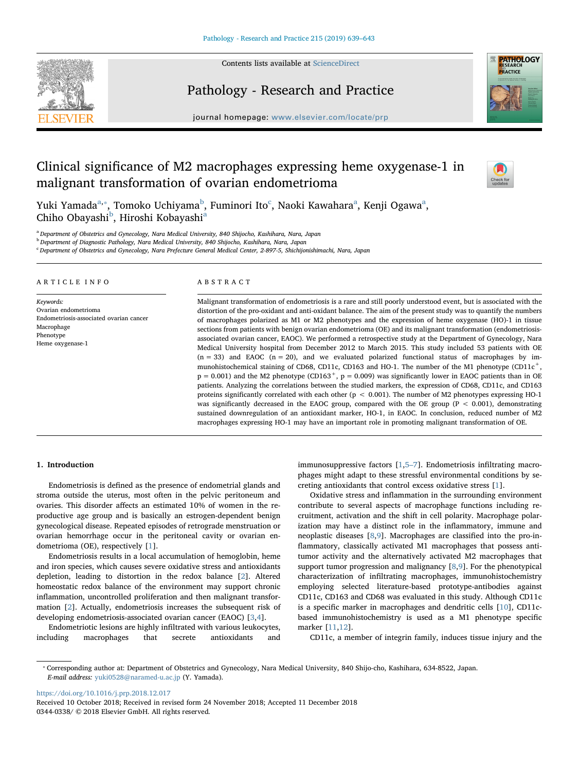Contents lists available at [ScienceDirect](http://www.sciencedirect.com/science/journal/03440338)

# Pathology - Research and Practice

journal homepage: [www.elsevier.com/locate/prp](https://www.elsevier.com/locate/prp)



# Clinical significance of M2 macrophages expressing heme oxygenase-1 in malignant transformation of ovarian endometrioma



Yuki Y[a](#page-0-0)mada $^{\mathrm{a},*}$ , Tomoko U[c](#page-0-3)hiyama $^{\mathrm{b}}$  $^{\mathrm{b}}$  $^{\mathrm{b}}$ , Fuminori Ito $^{\mathrm{c}}$ , Naoki Kawahara $^{\mathrm{a}}$ , Kenji Ogawa $^{\mathrm{a}},$ Chiho O[b](#page-0-2)[a](#page-0-0)yashi<sup>b</sup>, Hiroshi Kobayashi<sup>a</sup>

<span id="page-0-0"></span><sup>a</sup> Department of Obstetrics and Gynecology, Nara Medical University, 840 Shijocho, Kashihara, Nara, Japan

<span id="page-0-2"></span><sup>b</sup> Department of Diagnostic Pathology, Nara Medical University, 840 Shijocho, Kashihara, Nara, Japan

<span id="page-0-3"></span><sup>c</sup> Department of Obstetrics and Gynecology, Nara Prefecture General Medical Center, 2-897-5, Shichijonishimachi, Nara, Japan

#### ARTICLE INFO

Keywords: Ovarian endometrioma Endometriosis-associated ovarian cancer Macrophage Phenotype Heme oxygenase-1

#### ABSTRACT

Malignant transformation of endometriosis is a rare and still poorly understood event, but is associated with the distortion of the pro-oxidant and anti-oxidant balance. The aim of the present study was to quantify the numbers of macrophages polarized as M1 or M2 phenotypes and the expression of heme oxygenase (HO)-1 in tissue sections from patients with benign ovarian endometrioma (OE) and its malignant transformation (endometriosisassociated ovarian cancer, EAOC). We performed a retrospective study at the Department of Gynecology, Nara Medical University hospital from December 2012 to March 2015. This study included 53 patients with OE  $(n = 33)$  and EAOC  $(n = 20)$ , and we evaluated polarized functional status of macrophages by immunohistochemical staining of CD68, CD11c, CD163 and HO-1. The number of the M1 phenotype (CD11c<sup>+</sup>,  $p = 0.001$ ) and the M2 phenotype (CD163<sup>+</sup>,  $p = 0.009$ ) was significantly lower in EAOC patients than in OE patients. Analyzing the correlations between the studied markers, the expression of CD68, CD11c, and CD163 proteins significantly correlated with each other (p < 0.001). The number of M2 phenotypes expressing HO-1 was significantly decreased in the EAOC group, compared with the OE group (P  $<$  0.001), demonstrating sustained downregulation of an antioxidant marker, HO-1, in EAOC. In conclusion, reduced number of M2 macrophages expressing HO-1 may have an important role in promoting malignant transformation of OE.

# 1. Introduction

Endometriosis is defined as the presence of endometrial glands and stroma outside the uterus, most often in the pelvic peritoneum and ovaries. This disorder affects an estimated 10% of women in the reproductive age group and is basically an estrogen-dependent benign gynecological disease. Repeated episodes of retrograde menstruation or ovarian hemorrhage occur in the peritoneal cavity or ovarian endometrioma (OE), respectively [[1](#page-4-0)].

Endometriosis results in a local accumulation of hemoglobin, heme and iron species, which causes severe oxidative stress and antioxidants depletion, leading to distortion in the redox balance [[2](#page-4-1)]. Altered homeostatic redox balance of the environment may support chronic inflammation, uncontrolled proliferation and then malignant transformation [[2\]](#page-4-1). Actually, endometriosis increases the subsequent risk of developing endometriosis-associated ovarian cancer (EAOC) [\[3](#page-4-2)[,4\]](#page-4-3).

Endometriotic lesions are highly infiltrated with various leukocytes, including macrophages that secrete antioxidants

immunosuppressive factors [\[1,](#page-4-0)5–[7\]](#page-4-4). Endometriosis infiltrating macrophages might adapt to these stressful environmental conditions by secreting antioxidants that control excess oxidative stress [\[1](#page-4-0)].

Oxidative stress and inflammation in the surrounding environment contribute to several aspects of macrophage functions including recruitment, activation and the shift in cell polarity. Macrophage polarization may have a distinct role in the inflammatory, immune and neoplastic diseases [[8](#page-4-5),[9](#page-4-6)]. Macrophages are classified into the pro-inflammatory, classically activated M1 macrophages that possess antitumor activity and the alternatively activated M2 macrophages that support tumor progression and malignancy [[8](#page-4-5),[9](#page-4-6)]. For the phenotypical characterization of infiltrating macrophages, immunohistochemistry employing selected literature-based prototype-antibodies against CD11c, CD163 and CD68 was evaluated in this study. Although CD11c is a specific marker in macrophages and dendritic cells [\[10](#page-4-7)], CD11cbased immunohistochemistry is used as a M1 phenotype specific marker [[11,](#page-4-8)[12](#page-4-9)].

CD11c, a member of integrin family, induces tissue injury and the

<span id="page-0-1"></span>⁎ Corresponding author at: Department of Obstetrics and Gynecology, Nara Medical University, 840 Shijo-cho, Kashihara, 634-8522, Japan. E-mail address: [yuki0528@naramed-u.ac.jp](mailto:yuki0528@naramed-u.ac.jp) (Y. Yamada).

<https://doi.org/10.1016/j.prp.2018.12.017>

Received 10 October 2018; Received in revised form 24 November 2018; Accepted 11 December 2018 0344-0338/ © 2018 Elsevier GmbH. All rights reserved.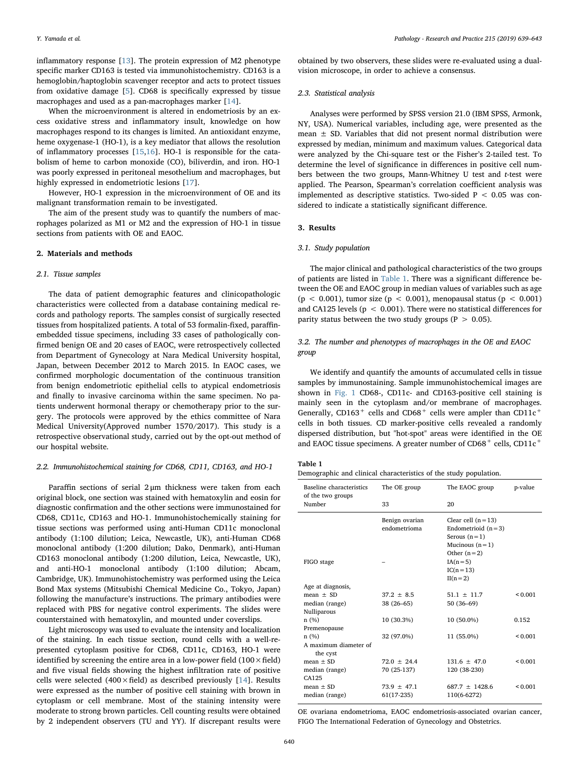inflammatory response [\[13](#page-4-10)]. The protein expression of M2 phenotype specific marker CD163 is tested via immunohistochemistry. CD163 is a hemoglobin/haptoglobin scavenger receptor and acts to protect tissues from oxidative damage [\[5\]](#page-4-4). CD68 is specifically expressed by tissue macrophages and used as a pan-macrophages marker [[14\]](#page-4-11).

When the microenvironment is altered in endometriosis by an excess oxidative stress and inflammatory insult, knowledge on how macrophages respond to its changes is limited. An antioxidant enzyme, heme oxygenase-1 (HO-1), is a key mediator that allows the resolution of inflammatory processes [\[15](#page-4-12),[16\]](#page-4-13). HO-1 is responsible for the catabolism of heme to carbon monoxide (CO), biliverdin, and iron. HO-1 was poorly expressed in peritoneal mesothelium and macrophages, but highly expressed in endometriotic lesions [[17\]](#page-4-14).

However, HO-1 expression in the microenvironment of OE and its malignant transformation remain to be investigated.

The aim of the present study was to quantify the numbers of macrophages polarized as M1 or M2 and the expression of HO-1 in tissue sections from patients with OE and EAOC.

#### 2. Materials and methods

#### 2.1. Tissue samples

The data of patient demographic features and clinicopathologic characteristics were collected from a database containing medical records and pathology reports. The samples consist of surgically resected tissues from hospitalized patients. A total of 53 formalin-fixed, paraffinembedded tissue specimens, including 33 cases of pathologically confirmed benign OE and 20 cases of EAOC, were retrospectively collected from Department of Gynecology at Nara Medical University hospital, Japan, between December 2012 to March 2015. In EAOC cases, we confirmed morphologic documentation of the continuous transition from benign endometriotic epithelial cells to atypical endometriosis and finally to invasive carcinoma within the same specimen. No patients underwent hormonal therapy or chemotherapy prior to the surgery. The protocols were approved by the ethics committee of Nara Medical University(Approved number 1570/2017). This study is a retrospective observational study, carried out by the opt-out method of our hospital website.

#### 2.2. Immunohistochemical staining for CD68, CD11, CD163, and HO-1

Paraffin sections of serial 2 μm thickness were taken from each original block, one section was stained with hematoxylin and eosin for diagnostic confirmation and the other sections were immunostained for CD68, CD11c, CD163 and HO-1. Immunohistochemically staining for tissue sections was performed using anti-Human CD11c monoclonal antibody (1:100 dilution; Leica, Newcastle, UK), anti-Human CD68 monoclonal antibody (1:200 dilution; Dako, Denmark), anti-Human CD163 monoclonal antibody (1:200 dilution, Leica, Newcastle, UK), and anti-HO-1 monoclonal antibody (1:100 dilution; Abcam, Cambridge, UK). Immunohistochemistry was performed using the Leica Bond Max systems (Mitsubishi Chemical Medicine Co., Tokyo, Japan) following the manufacture's instructions. The primary antibodies were replaced with PBS for negative control experiments. The slides were counterstained with hematoxylin, and mounted under coverslips.

Light microscopy was used to evaluate the intensity and localization of the staining. In each tissue section, round cells with a well-represented cytoplasm positive for CD68, CD11c, CD163, HO-1 were identified by screening the entire area in a low-power field  $(100 \times$ field) and five visual fields showing the highest infiltration rate of positive cells were selected (400 $\times$ field) as described previously [[14\]](#page-4-11). Results were expressed as the number of positive cell staining with brown in cytoplasm or cell membrane. Most of the staining intensity were moderate to strong brown particles. Cell counting results were obtained by 2 independent observers (TU and YY). If discrepant results were

obtained by two observers, these slides were re-evaluated using a dualvision microscope, in order to achieve a consensus.

#### 2.3. Statistical analysis

Analyses were performed by SPSS version 21.0 (IBM SPSS, Armonk, NY, USA). Numerical variables, including age, were presented as the mean  $\pm$  SD. Variables that did not present normal distribution were expressed by median, minimum and maximum values. Categorical data were analyzed by the Chi-square test or the Fisher's 2-tailed test. To determine the level of significance in differences in positive cell numbers between the two groups, Mann-Whitney U test and t-test were applied. The Pearson, Spearman's correlation coefficient analysis was implemented as descriptive statistics. Two-sided  $P < 0.05$  was considered to indicate a statistically significant difference.

# 3. Results

#### 3.1. Study population

The major clinical and pathological characteristics of the two groups of patients are listed in [Table 1.](#page-1-0) There was a significant difference between the OE and EAOC group in median values of variables such as age (p < 0.001), tumor size (p < 0.001), menopausal status (p < 0.001) and CA125 levels ( $p < 0.001$ ). There were no statistical differences for parity status between the two study groups ( $P > 0.05$ ).

# 3.2. The number and phenotypes of macrophages in the OE and EAOC group

We identify and quantify the amounts of accumulated cells in tissue samples by immunostaining. Sample immunohistochemical images are shown in [Fig. 1](#page-2-0) CD68-, CD11c- and CD163-positive cell staining is mainly seen in the cytoplasm and/or membrane of macrophages. Generally, CD163<sup>+</sup> cells and CD68<sup>+</sup> cells were ampler than CD11c<sup>+</sup> cells in both tissues. CD marker-positive cells revealed a randomly dispersed distribution, but "hot-spot" areas were identified in the OE and EAOC tissue specimens. A greater number of  $CD68<sup>+</sup>$  cells,  $CD11c<sup>+</sup>$ 

#### <span id="page-1-0"></span>Table 1

Demographic and clinical characteristics of the study population.

| Baseline characteristics<br>of the two groups | The OE group                    | The EAOC group                                                                                     | p-value      |
|-----------------------------------------------|---------------------------------|----------------------------------------------------------------------------------------------------|--------------|
| Number                                        | 33                              | 20                                                                                                 |              |
|                                               | Benign ovarian<br>endometrioma  | Clear cell $(n=13)$<br>Endometrioid $(n=3)$<br>Serous $(n=1)$<br>Mucinous $(n=1)$<br>Other $(n=2)$ |              |
| FIGO stage                                    |                                 | $IA(n=5)$<br>$IC(n=13)$<br>$II(n=2)$                                                               |              |
| Age at diagnosis,                             |                                 |                                                                                                    |              |
| $mean + SD$                                   | $37.2 + 8.5$                    | $51.1 + 11.7$                                                                                      | 0.001        |
| median (range)                                | $38(26-65)$                     | $50(36-69)$                                                                                        |              |
| Nulliparous                                   |                                 |                                                                                                    |              |
| n(%)                                          | $10(30.3\%)$                    | $10(50.0\%)$                                                                                       | 0.152        |
| Premenopause                                  |                                 |                                                                                                    |              |
| n(%)                                          | 32 (97.0%)                      | 11 (55.0%)                                                                                         | ${}_{0.001}$ |
| A maximum diameter of<br>the cyst             |                                 |                                                                                                    |              |
| $mean + SD$<br>median (range)<br>CA125        | $72.0 \pm 24.4$<br>70 (25-137)  | $131.6 + 47.0$<br>120 (38-230)                                                                     | ${}_{0.001}$ |
| $mean + SD$<br>median (range)                 | $73.9 \pm 47.1$<br>$61(17-235)$ | $687.7 \pm 1428.6$<br>110(6-6272)                                                                  | ${}_{0.001}$ |

OE ovariana endometrioma, EAOC endometriosis-associated ovarian cancer, FIGO The International Federation of Gynecology and Obstetrics.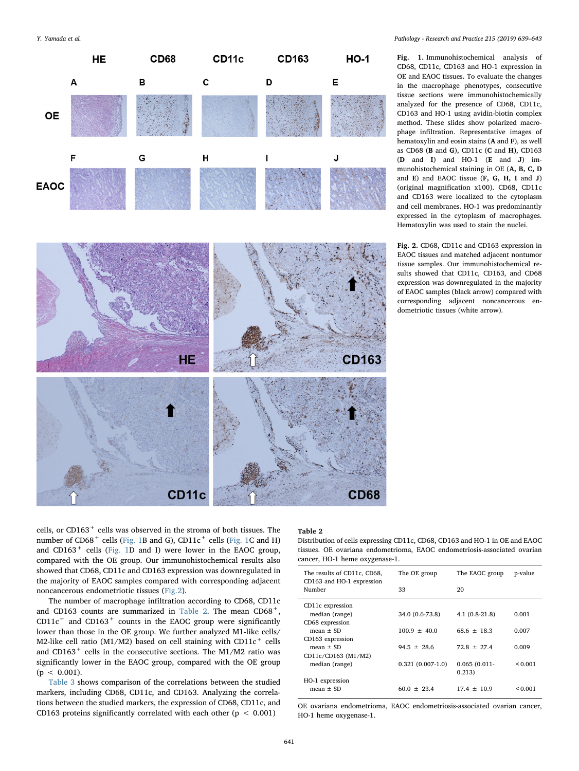<span id="page-2-1"></span><span id="page-2-0"></span>

Y. Yamada et al. *Pathology - Research and Practice 215 (2019) 639–643*

Fig. 1. Immunohistochemical analysis of CD68, CD11c, CD163 and HO-1 expression in OE and EAOC tissues. To evaluate the changes in the macrophage phenotypes, consecutive tissue sections were immunohistochemically analyzed for the presence of CD68, CD11c, CD163 and HO-1 using avidin-biotin complex method. These slides show polarized macrophage infiltration. Representative images of hematoxylin and eosin stains (A and F), as well as CD68 (B and G), CD11c (C and H), CD163 (D and I) and HO-1 (E and J) immunohistochemical staining in OE (A, B, C, D and E) and EAOC tissue (F, G, H, I and J) (original magnification x100). CD68, CD11c and CD163 were localized to the cytoplasm and cell membranes. HO-1 was predominantly expressed in the cytoplasm of macrophages. Hematoxylin was used to stain the nuclei.

Fig. 2. CD68, CD11c and CD163 expression in EAOC tissues and matched adjacent nontumor tissue samples. Our immunohistochemical results showed that CD11c, CD163, and CD68 expression was downregulated in the majority of EAOC samples (black arrow) compared with corresponding adjacent noncancerous endometriotic tissues (white arrow).

cells, or CD163<sup>+</sup> cells was observed in the stroma of both tissues. The number of  $CD68<sup>+</sup>$  cells [\(Fig. 1B](#page-2-0) and G),  $CD11c<sup>+</sup>$  cells [\(Fig. 1](#page-2-0)C and H) and CD163<sup>+</sup> cells [\(Fig. 1](#page-2-0)D and I) were lower in the EAOC group, compared with the OE group. Our immunohistochemical results also showed that CD68, CD11c and CD163 expression was downregulated in the majority of EAOC samples compared with corresponding adjacent noncancerous endometriotic tissues [\(Fig.2](#page-2-1)).

CD<sub>11c</sub>

The number of macrophage infiltration according to CD68, CD11c and CD163 counts are summarized in [Table 2](#page-2-2). The mean  $CD68^+$ ,  $CD11c<sup>+</sup>$  and  $CD163<sup>+</sup>$  counts in the EAOC group were significantly lower than those in the OE group. We further analyzed M1-like cells/ M2-like cell ratio (M1/M2) based on cell staining with  $CD11c^+$  cells and CD163<sup>+</sup> cells in the consecutive sections. The M1/M2 ratio was significantly lower in the EAOC group, compared with the OE group  $(p < 0.001)$ .

[Table 3](#page-3-0) shows comparison of the correlations between the studied markers, including CD68, CD11c, and CD163. Analyzing the correlations between the studied markers, the expression of CD68, CD11c, and CD163 proteins significantly correlated with each other ( $p < 0.001$ )

#### <span id="page-2-2"></span>Table 2

**CD68** 

Distribution of cells expressing CD11c, CD68, CD163 and HO-1 in OE and EAOC tissues. OE ovariana endometrioma, EAOC endometriosis-associated ovarian cancer, HO-1 heme oxygenase-1.

| The results of CD11c, CD68,<br>CD163 and HO-1 expression | The OE group       | The EAOC group  | p-value |
|----------------------------------------------------------|--------------------|-----------------|---------|
| Number                                                   | 33                 | 20              |         |
| CD11c expression                                         |                    |                 |         |
| median (range)                                           | 34.0 (0.6-73.8)    | $4.1(0.8-21.8)$ | 0.001   |
| CD68 expression                                          |                    |                 |         |
| $mean + SD$                                              | $100.9 + 40.0$     | $68.6 + 18.3$   | 0.007   |
| CD163 expression                                         |                    |                 |         |
| $mean + SD$                                              | $94.5 + 28.6$      | $72.8 + 27.4$   | 0.009   |
| CD11c/CD163 (M1/M2)                                      |                    |                 |         |
| median (range)                                           | $0.321(0.007-1.0)$ | $0.065(0.011 -$ | 0.001   |
|                                                          |                    | 0.213)          |         |
| HO-1 expression                                          |                    |                 |         |
| $mean + SD$                                              | $60.0 + 23.4$      | $17.4 + 10.9$   | 0.001   |

OE ovariana endometrioma, EAOC endometriosis-associated ovarian cancer, HO-1 heme oxygenase-1.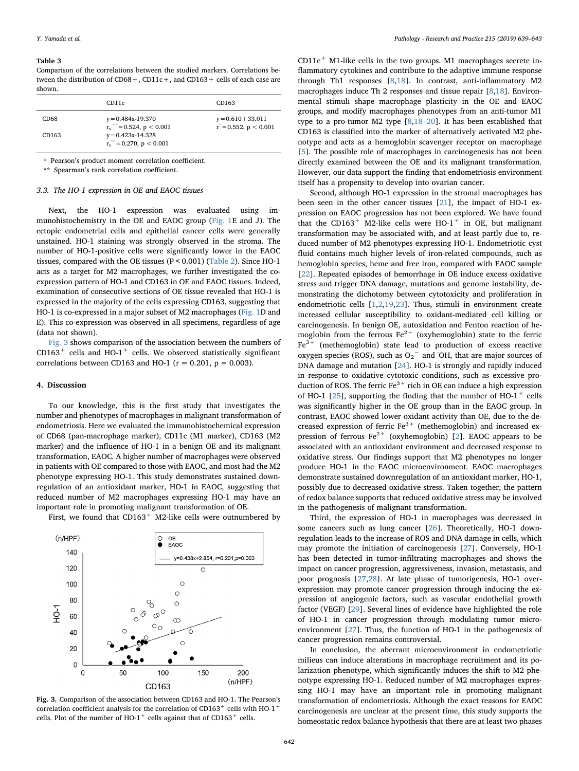#### <span id="page-3-0"></span>Table 3

Comparison of the correlations between the studied markers. Correlations between the distribution of  $CD68 +$ ,  $CD11c +$ , and  $CD163 +$  cells of each case are shown.

|                  | CD <sub>11</sub> c                                          | CD163                                               |
|------------------|-------------------------------------------------------------|-----------------------------------------------------|
| CD <sub>68</sub> | $y = 0.484x-19.370$<br>$r_s$ = 0.524, p < 0.001             | $y = 0.610 + 33.011$<br>$r^* = 0.552$ , $p < 0.001$ |
| CD163            | $y = 0.423x-14.328$<br>$r_s^{\ast\ast} = 0.270$ , p < 0.001 |                                                     |

<span id="page-3-3"></span>\* Pearson's product moment correlation coefficient.

<span id="page-3-2"></span>\*\* Spearman's rank correlation coefficient.

### 3.3. The HO-1 expression in OE and EAOC tissues

Next, the HO-1 expression was evaluated using immunohistochemistry in the OE and EAOC group [\(Fig. 1E](#page-2-0) and J). The ectopic endometrial cells and epithelial cancer cells were generally unstained. HO-1 staining was strongly observed in the stroma. The number of HO-1-positive cells were significantly lower in the EAOC tissues, compared with the OE tissues (P < 0.001) [\(Table 2\)](#page-2-2). Since HO-1 acts as a target for M2 macrophages, we further investigated the coexpression pattern of HO-1 and CD163 in OE and EAOC tissues. Indeed, examination of consecutive sections of OE tissue revealed that HO-1 is expressed in the majority of the cells expressing CD163, suggesting that HO-1 is co-expressed in a major subset of M2 macrophages [\(Fig. 1](#page-2-0)D and E). This co-expression was observed in all specimens, regardless of age (data not shown).

[Fig. 3](#page-3-1) shows comparison of the association between the numbers of  $CD163<sup>+</sup>$  cells and HO-1<sup>+</sup> cells. We observed statistically significant correlations between CD163 and HO-1 ( $r = 0.201$ ,  $p = 0.003$ ).

#### 4. Discussion

To our knowledge, this is the first study that investigates the number and phenotypes of macrophages in malignant transformation of endometriosis. Here we evaluated the immunohistochemical expression of CD68 (pan-macrophage marker), CD11c (M1 marker), CD163 (M2 marker) and the influence of HO-1 in a benign OE and its malignant transformation, EAOC. A higher number of macrophages were observed in patients with OE compared to those with EAOC, and most had the M2 phenotype expressing HO-1. This study demonstrates sustained downregulation of an antioxidant marker, HO-1 in EAOC, suggesting that reduced number of M2 macrophages expressing HO-1 may have an important role in promoting malignant transformation of OE.

First, we found that  $CD163<sup>+</sup>$  M2-like cells were outnumbered by

<span id="page-3-1"></span>

Fig. 3. Comparison of the association between CD163 and HO-1. The Pearson's correlation coefficient analysis for the correlation of CD163<sup>+</sup> cells with HO-1<sup>+</sup> cells. Plot of the number of HO-1<sup>+</sup> cells against that of CD163<sup>+</sup> cells.

 $CD11c<sup>+</sup>$  M1-like cells in the two groups. M1 macrophages secrete inflammatory cytokines and contribute to the adaptive immune response through Th1 responses [[8](#page-4-5)[,18](#page-4-15)]. In contrast, anti-inflammatory M2 macrophages induce Th 2 responses and tissue repair [\[8,](#page-4-5)[18](#page-4-15)]. Environmental stimuli shape macrophage plasticity in the OE and EAOC groups, and modify macrophages phenotypes from an anti-tumor M1 type to a pro-tumor M2 type [\[8,](#page-4-5)[18](#page-4-15)–20]. It has been established that CD163 is classified into the marker of alternatively activated M2 phenotype and acts as a hemoglobin scavenger receptor on macrophage [[5](#page-4-4)]. The possible role of macrophages in carcinogenesis has not been directly examined between the OE and its malignant transformation. However, our data support the finding that endometriosis environment itself has a propensity to develop into ovarian cancer.

Second, although HO-1 expression in the stromal macrophages has been seen in the other cancer tissues [\[21](#page-4-16)], the impact of HO-1 expression on EAOC progression has not been explored. We have found that the CD163<sup>+</sup> M2-like cells were HO-1<sup>+</sup> in OE, but malignant transformation may be associated with, and at least partly due to, reduced number of M2 phenotypes expressing HO-1. Endometriotic cyst fluid contains much higher levels of iron-related compounds, such as hemoglobin species, heme and free iron, compared with EAOC sample [[22\]](#page-4-17). Repeated episodes of hemorrhage in OE induce excess oxidative stress and trigger DNA damage, mutations and genome instability, demonstrating the dichotomy between cytotoxicity and proliferation in endometriotic cells [\[1](#page-4-0)[,2,](#page-4-1)[19,](#page-4-18)[23](#page-4-19)]. Thus, stimuli in environment create increased cellular susceptibility to oxidant-mediated cell killing or carcinogenesis. In benign OE, autoxidation and Fenton reaction of hemoglobin from the ferrous  $Fe^{2+}$  (oxyhemoglobin) state to the ferric  $Fe<sup>3+</sup>$  (methemoglobin) state lead to production of excess reactive oxygen species (ROS), such as  $O_2$ <sup>-</sup> and  $^{\circ}$ OH, that are major sources of DNA damage and mutation [\[24](#page-4-20)]. HO-1 is strongly and rapidly induced in response to oxidative cytotoxic conditions, such as excessive production of ROS. The ferric  $Fe<sup>3+</sup>$  rich in OE can induce a high expression of HO-1 [[25\]](#page-4-21), supporting the finding that the number of HO- $1^+$  cells was significantly higher in the OE group than in the EAOC group. In contrast, EAOC showed lower oxidant activity than OE, due to the decreased expression of ferric  $Fe<sup>3+</sup>$  (methemoglobin) and increased expression of ferrous  $Fe^{2+}$  (oxyhemoglobin) [\[2\]](#page-4-1). EAOC appears to be associated with an antioxidant environment and decreased response to oxidative stress. Our findings support that M2 phenotypes no longer produce HO-1 in the EAOC microenvironment. EAOC macrophages demonstrate sustained downregulation of an antioxidant marker, HO-1, possibly due to decreased oxidative stress. Taken together, the pattern of redox balance supports that reduced oxidative stress may be involved in the pathogenesis of malignant transformation.

Third, the expression of HO-1 in macrophages was decreased in some cancers such as lung cancer [\[26](#page-4-22)]. Theoretically, HO-1 downregulation leads to the increase of ROS and DNA damage in cells, which may promote the initiation of carcinogenesis [[27\]](#page-4-23). Conversely, HO-1 has been detected in tumor-infiltrating macrophages and shows the impact on cancer progression, aggressiveness, invasion, metastasis, and poor prognosis [[27,](#page-4-23)[28\]](#page-4-24). At late phase of tumorigenesis, HO-1 overexpression may promote cancer progression through inducing the expression of angiogenic factors, such as vascular endothelial growth factor (VEGF) [\[29](#page-4-25)]. Several lines of evidence have highlighted the role of HO-1 in cancer progression through modulating tumor microenvironment [\[27](#page-4-23)]. Thus, the function of HO-1 in the pathogenesis of cancer progression remains controversial.

In conclusion, the aberrant microenvironment in endometriotic milieus can induce alterations in macrophage recruitment and its polarization phenotype, which significantly induces the shift to M2 phenotype expressing HO-1. Reduced number of M2 macrophages expressing HO-1 may have an important role in promoting malignant transformation of endometriosis. Although the exact reasons for EAOC carcinogenesis are unclear at the present time, this study supports the homeostatic redox balance hypothesis that there are at least two phases